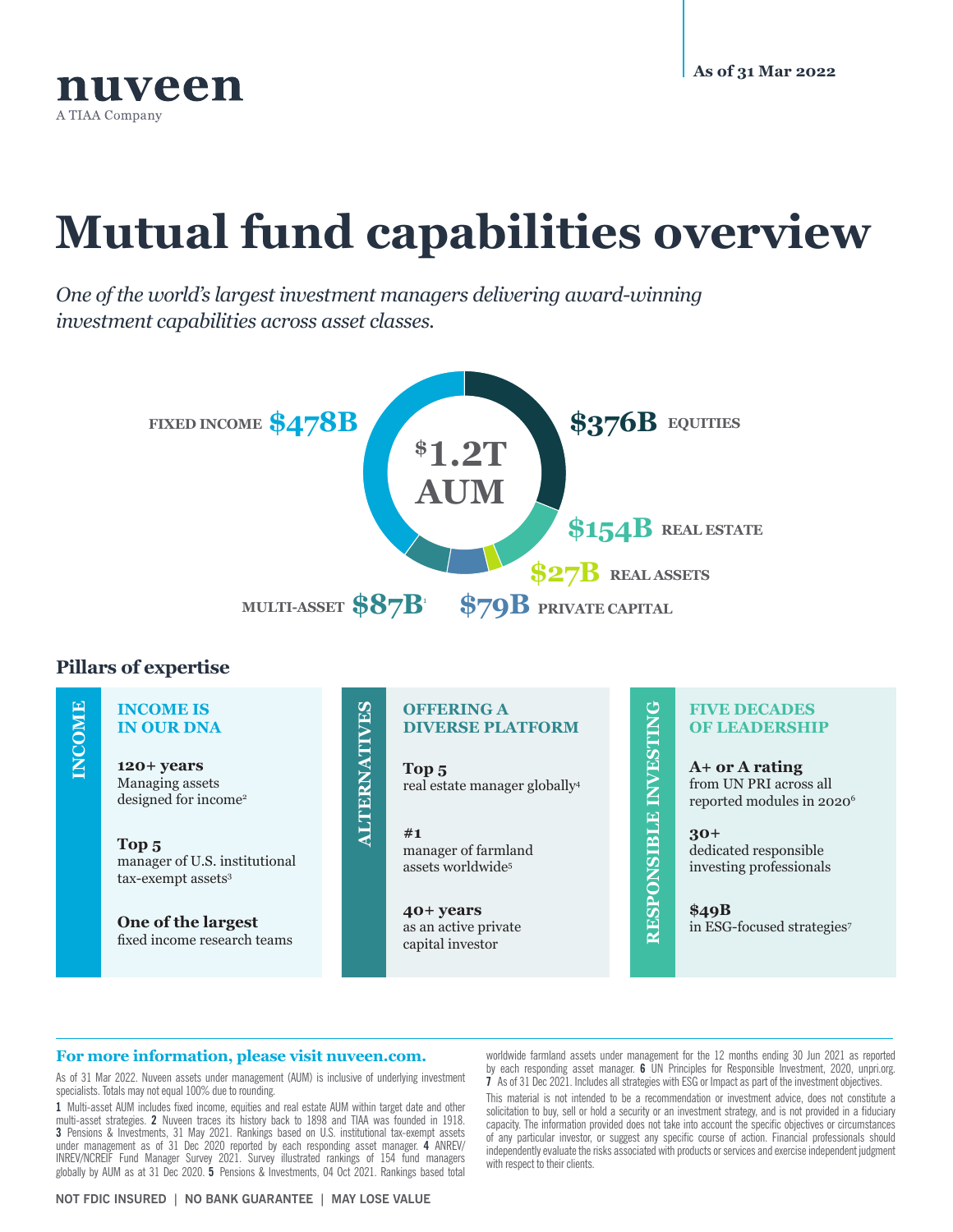

# **Mutual fund capabilities overview**

*One of the world's largest investment managers delivering award-winning investment capabilities across asset classes.*



## **Pillars of expertise**

#### **IMCOME INCOME INCOME IS ALTERNATIVES ALTERNATIVES IN OUR DNA 120+ years** Managing assets designed for income2 **Top 5** manager of U.S. institutional tax-exempt assets<sup>3</sup>

**One of the largest** fixed income research teams

### **OFFERING A DIVERSE PLATFORM**

**Top 5** real estate manager globally4

**#1** manager of farmland assets worldwide5

**40+ years** as an active private capital investor

RESPONSIBLE INVESTING **RESPONSIBLE INVESTING**

#### **FIVE DECADES OF LEADERSHIP**

**A+ or A rating** from UN PRI across all reported modules in 2020<sup>6</sup>

**30+** dedicated responsible investing professionals

**\$49B** in ESG-focused strategies7

#### **For more information, please visit nuveen.com.**

As of 31 Mar 2022. Nuveen assets under management (AUM) is inclusive of underlying investment specialists. Totals may not equal 100% due to rounding.

**1** Multi-asset AUM includes fixed income, equities and real estate AUM within target date and other multi-asset strategies. **2** Nuveen traces its history back to 1898 and TIAA was founded in 1918. **3** Pensions & Investments, 31 May 2021. Rankings based on U.S. institutional tax-exempt assets under management as of 31 Dec 2020 reported by each responding asset manager. **4** ANREV/ INREV/NCREIF Fund Manager Survey 2021. Survey illustrated rankings of 154 fund managers globally by AUM as at 31 Dec 2020. **5** Pensions & Investments, 04 Oct 2021. Rankings based total

**NOT FDIC INSURED | NO BANK GUARANTEE | MAY LOSE VALUE**

worldwide farmland assets under management for the 12 months ending 30 Jun 2021 as reported by each responding asset manager. **6** UN Principles for Responsible Investment, 2020, unpri.org. **7** As of 31 Dec 2021. Includes all strategies with ESG or Impact as part of the investment objectives.

This material is not intended to be a recommendation or investment advice, does not constitute a solicitation to buy, sell or hold a security or an investment strategy, and is not provided in a fiduciary capacity. The information provided does not take into account the specific objectives or circumstances of any particular investor, or suggest any specific course of action. Financial professionals should independently evaluate the risks associated with products or services and exercise independent judgment with respect to their clients.